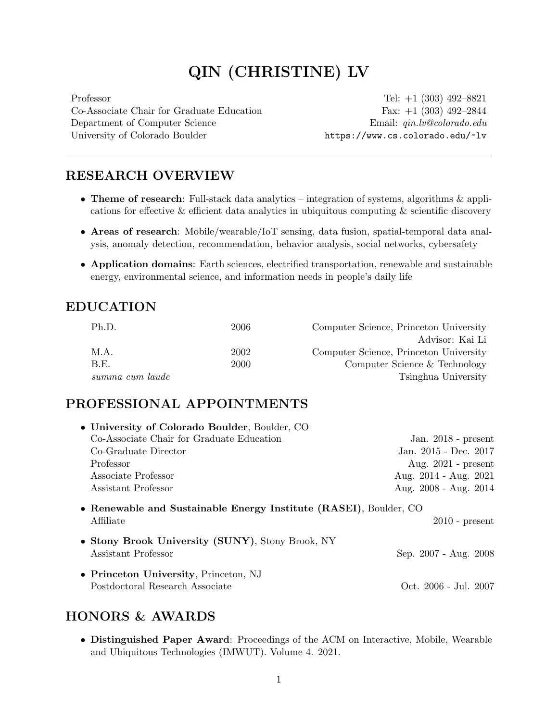# QIN (CHRISTINE) LV

Co-Associate Chair for Graduate Education Fax: +1 (303) 492–2844 Department of Computer Science Email:  $qin.lv@colorado.edu$ University of Colorado Boulder <https://www.cs.colorado.edu/~lv>

Professor Tel: +1 (303) 492–8821

## RESEARCH OVERVIEW

- Theme of research: Full-stack data analytics integration of systems, algorithms & applications for effective & efficient data analytics in ubiquitous computing & scientific discovery
- Areas of research: Mobile/wearable/IoT sensing, data fusion, spatial-temporal data analysis, anomaly detection, recommendation, behavior analysis, social networks, cybersafety
- Application domains: Earth sciences, electrified transportation, renewable and sustainable energy, environmental science, and information needs in people's daily life

## EDUCATION

| Ph.D.           | 2006 | Computer Science, Princeton University |
|-----------------|------|----------------------------------------|
|                 |      | Advisor: Kai Li                        |
| M.A.            | 2002 | Computer Science, Princeton University |
| B.E.            | 2000 | Computer Science & Technology          |
| summa cum laude |      | Tsinghua University                    |

# PROFESSIONAL APPOINTMENTS

| • University of Colorado Boulder, Boulder, CO                                  |                       |
|--------------------------------------------------------------------------------|-----------------------|
| Co-Associate Chair for Graduate Education                                      | Jan. $2018$ - present |
| Co-Graduate Director                                                           | Jan. 2015 - Dec. 2017 |
| Professor                                                                      | Aug. $2021$ - present |
| Associate Professor                                                            | Aug. 2014 - Aug. 2021 |
| Assistant Professor                                                            | Aug. 2008 - Aug. 2014 |
| • Renewable and Sustainable Energy Institute (RASEI), Boulder, CO<br>Affiliate | $2010$ - present      |
| • Stony Brook University (SUNY), Stony Brook, NY<br>Assistant Professor        | Sep. 2007 - Aug. 2008 |
| • Princeton University, Princeton, NJ<br>Postdoctoral Research Associate       | Oct. 2006 - Jul. 2007 |

# HONORS & AWARDS

• Distinguished Paper Award: Proceedings of the ACM on Interactive, Mobile, Wearable and Ubiquitous Technologies (IMWUT). Volume 4. 2021.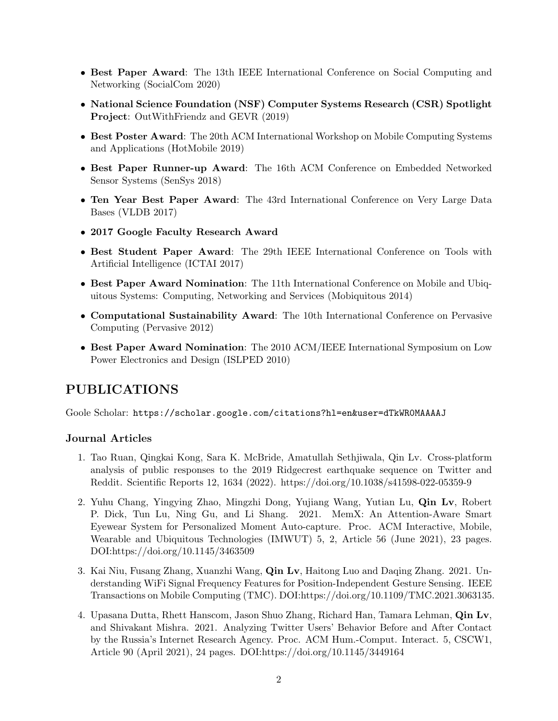- Best Paper Award: The 13th IEEE International Conference on Social Computing and Networking (SocialCom 2020)
- National Science Foundation (NSF) Computer Systems Research (CSR) Spotlight Project: OutWithFriendz and GEVR (2019)
- Best Poster Award: The 20th ACM International Workshop on Mobile Computing Systems and Applications (HotMobile 2019)
- Best Paper Runner-up Award: The 16th ACM Conference on Embedded Networked Sensor Systems (SenSys 2018)
- Ten Year Best Paper Award: The 43rd International Conference on Very Large Data Bases (VLDB 2017)
- 2017 Google Faculty Research Award
- Best Student Paper Award: The 29th IEEE International Conference on Tools with Artificial Intelligence (ICTAI 2017)
- Best Paper Award Nomination: The 11th International Conference on Mobile and Ubiquitous Systems: Computing, Networking and Services (Mobiquitous 2014)
- Computational Sustainability Award: The 10th International Conference on Pervasive Computing (Pervasive 2012)
- Best Paper Award Nomination: The 2010 ACM/IEEE International Symposium on Low Power Electronics and Design (ISLPED 2010)

# PUBLICATIONS

Goole Scholar: <https://scholar.google.com/citations?hl=en&user=dTkWR0MAAAAJ>

### Journal Articles

- 1. Tao Ruan, Qingkai Kong, Sara K. McBride, Amatullah Sethjiwala, Qin Lv. Cross-platform analysis of public responses to the 2019 Ridgecrest earthquake sequence on Twitter and Reddit. Scientific Reports 12, 1634 (2022). https://doi.org/10.1038/s41598-022-05359-9
- 2. Yuhu Chang, Yingying Zhao, Mingzhi Dong, Yujiang Wang, Yutian Lu, Qin Lv, Robert P. Dick, Tun Lu, Ning Gu, and Li Shang. 2021. MemX: An Attention-Aware Smart Eyewear System for Personalized Moment Auto-capture. Proc. ACM Interactive, Mobile, Wearable and Ubiquitous Technologies (IMWUT) 5, 2, Article 56 (June 2021), 23 pages. DOI:https://doi.org/10.1145/3463509
- 3. Kai Niu, Fusang Zhang, Xuanzhi Wang, Qin Lv, Haitong Luo and Daqing Zhang. 2021. Understanding WiFi Signal Frequency Features for Position-Independent Gesture Sensing. IEEE Transactions on Mobile Computing (TMC). DOI:https://doi.org/10.1109/TMC.2021.3063135.
- 4. Upasana Dutta, Rhett Hanscom, Jason Shuo Zhang, Richard Han, Tamara Lehman, Qin Lv, and Shivakant Mishra. 2021. Analyzing Twitter Users' Behavior Before and After Contact by the Russia's Internet Research Agency. Proc. ACM Hum.-Comput. Interact. 5, CSCW1, Article 90 (April 2021), 24 pages. DOI:https://doi.org/10.1145/3449164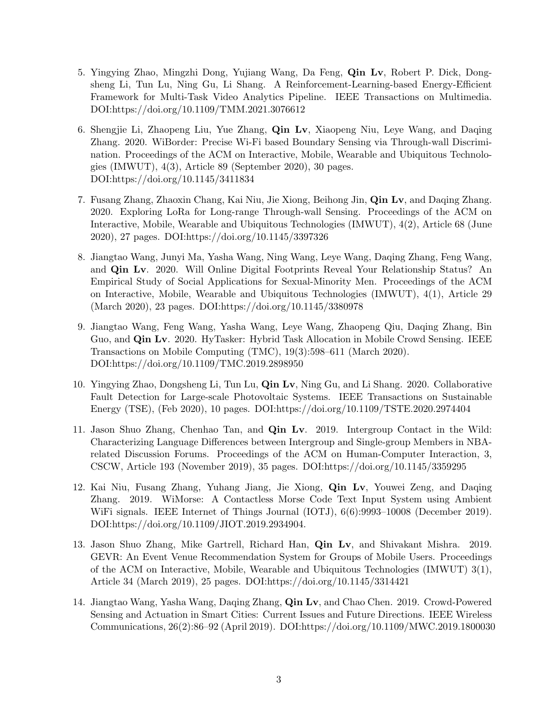- 5. Yingying Zhao, Mingzhi Dong, Yujiang Wang, Da Feng, Qin Lv, Robert P. Dick, Dongsheng Li, Tun Lu, Ning Gu, Li Shang. A Reinforcement-Learning-based Energy-Efficient Framework for Multi-Task Video Analytics Pipeline. IEEE Transactions on Multimedia. DOI:https://doi.org/10.1109/TMM.2021.3076612
- 6. Shengjie Li, Zhaopeng Liu, Yue Zhang, Qin Lv, Xiaopeng Niu, Leye Wang, and Daqing Zhang. 2020. WiBorder: Precise Wi-Fi based Boundary Sensing via Through-wall Discrimination. Proceedings of the ACM on Interactive, Mobile, Wearable and Ubiquitous Technologies (IMWUT), 4(3), Article 89 (September 2020), 30 pages. DOI:https://doi.org/10.1145/3411834
- 7. Fusang Zhang, Zhaoxin Chang, Kai Niu, Jie Xiong, Beihong Jin, Qin Lv, and Daqing Zhang. 2020. Exploring LoRa for Long-range Through-wall Sensing. Proceedings of the ACM on Interactive, Mobile, Wearable and Ubiquitous Technologies (IMWUT), 4(2), Article 68 (June 2020), 27 pages. DOI:https://doi.org/10.1145/3397326
- 8. Jiangtao Wang, Junyi Ma, Yasha Wang, Ning Wang, Leye Wang, Daqing Zhang, Feng Wang, and Qin Lv. 2020. Will Online Digital Footprints Reveal Your Relationship Status? An Empirical Study of Social Applications for Sexual-Minority Men. Proceedings of the ACM on Interactive, Mobile, Wearable and Ubiquitous Technologies (IMWUT), 4(1), Article 29 (March 2020), 23 pages. DOI:https://doi.org/10.1145/3380978
- 9. Jiangtao Wang, Feng Wang, Yasha Wang, Leye Wang, Zhaopeng Qiu, Daqing Zhang, Bin Guo, and Qin Lv. 2020. HyTasker: Hybrid Task Allocation in Mobile Crowd Sensing. IEEE Transactions on Mobile Computing (TMC), 19(3):598–611 (March 2020). DOI:https://doi.org/10.1109/TMC.2019.2898950
- 10. Yingying Zhao, Dongsheng Li, Tun Lu, Qin Lv, Ning Gu, and Li Shang. 2020. Collaborative Fault Detection for Large-scale Photovoltaic Systems. IEEE Transactions on Sustainable Energy (TSE), (Feb 2020), 10 pages. DOI:https://doi.org/10.1109/TSTE.2020.2974404
- 11. Jason Shuo Zhang, Chenhao Tan, and Qin Lv. 2019. Intergroup Contact in the Wild: Characterizing Language Differences between Intergroup and Single-group Members in NBArelated Discussion Forums. Proceedings of the ACM on Human-Computer Interaction, 3, CSCW, Article 193 (November 2019), 35 pages. DOI:https://doi.org/10.1145/3359295
- 12. Kai Niu, Fusang Zhang, Yuhang Jiang, Jie Xiong, Qin Lv, Youwei Zeng, and Daqing Zhang. 2019. WiMorse: A Contactless Morse Code Text Input System using Ambient WiFi signals. IEEE Internet of Things Journal (IOTJ), 6(6):9993–10008 (December 2019). DOI:https://doi.org/10.1109/JIOT.2019.2934904.
- 13. Jason Shuo Zhang, Mike Gartrell, Richard Han, Qin Lv, and Shivakant Mishra. 2019. GEVR: An Event Venue Recommendation System for Groups of Mobile Users. Proceedings of the ACM on Interactive, Mobile, Wearable and Ubiquitous Technologies (IMWUT) 3(1), Article 34 (March 2019), 25 pages. DOI:https://doi.org/10.1145/3314421
- 14. Jiangtao Wang, Yasha Wang, Daqing Zhang, Qin Lv, and Chao Chen. 2019. Crowd-Powered Sensing and Actuation in Smart Cities: Current Issues and Future Directions. IEEE Wireless Communications, 26(2):86–92 (April 2019). DOI:https://doi.org/10.1109/MWC.2019.1800030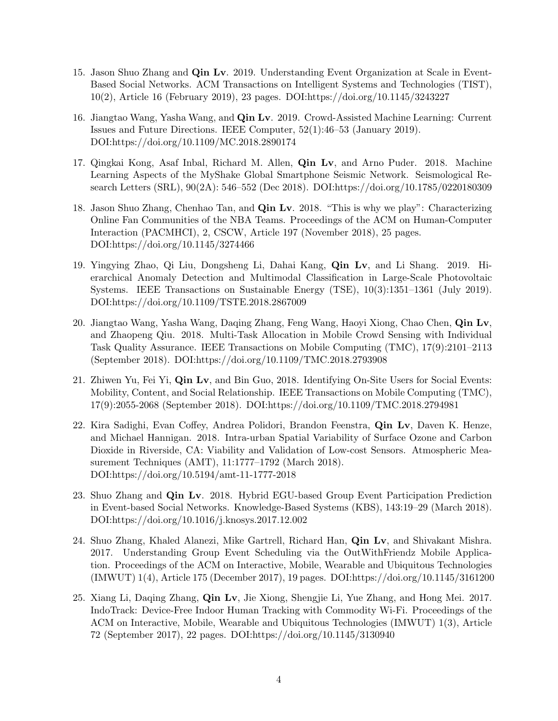- 15. Jason Shuo Zhang and Qin Lv. 2019. Understanding Event Organization at Scale in Event-Based Social Networks. ACM Transactions on Intelligent Systems and Technologies (TIST), 10(2), Article 16 (February 2019), 23 pages. DOI:https://doi.org/10.1145/3243227
- 16. Jiangtao Wang, Yasha Wang, and Qin Lv. 2019. Crowd-Assisted Machine Learning: Current Issues and Future Directions. IEEE Computer, 52(1):46–53 (January 2019). DOI:https://doi.org/10.1109/MC.2018.2890174
- 17. Qingkai Kong, Asaf Inbal, Richard M. Allen, Qin Lv, and Arno Puder. 2018. Machine Learning Aspects of the MyShake Global Smartphone Seismic Network. Seismological Research Letters (SRL), 90(2A): 546–552 (Dec 2018). DOI:https://doi.org/10.1785/0220180309
- 18. Jason Shuo Zhang, Chenhao Tan, and Qin Lv. 2018. "This is why we play": Characterizing Online Fan Communities of the NBA Teams. Proceedings of the ACM on Human-Computer Interaction (PACMHCI), 2, CSCW, Article 197 (November 2018), 25 pages. DOI:https://doi.org/10.1145/3274466
- 19. Yingying Zhao, Qi Liu, Dongsheng Li, Dahai Kang, Qin Lv, and Li Shang. 2019. Hierarchical Anomaly Detection and Multimodal Classification in Large-Scale Photovoltaic Systems. IEEE Transactions on Sustainable Energy (TSE), 10(3):1351–1361 (July 2019). DOI:https://doi.org/10.1109/TSTE.2018.2867009
- 20. Jiangtao Wang, Yasha Wang, Daqing Zhang, Feng Wang, Haoyi Xiong, Chao Chen, Qin Lv, and Zhaopeng Qiu. 2018. Multi-Task Allocation in Mobile Crowd Sensing with Individual Task Quality Assurance. IEEE Transactions on Mobile Computing (TMC), 17(9):2101–2113 (September 2018). DOI:https://doi.org/10.1109/TMC.2018.2793908
- 21. Zhiwen Yu, Fei Yi, Qin Lv, and Bin Guo, 2018. Identifying On-Site Users for Social Events: Mobility, Content, and Social Relationship. IEEE Transactions on Mobile Computing (TMC), 17(9):2055-2068 (September 2018). DOI:https://doi.org/10.1109/TMC.2018.2794981
- 22. Kira Sadighi, Evan Coffey, Andrea Polidori, Brandon Feenstra, Qin Lv, Daven K. Henze, and Michael Hannigan. 2018. Intra-urban Spatial Variability of Surface Ozone and Carbon Dioxide in Riverside, CA: Viability and Validation of Low-cost Sensors. Atmospheric Measurement Techniques (AMT), 11:1777–1792 (March 2018). DOI:https://doi.org/10.5194/amt-11-1777-2018
- 23. Shuo Zhang and Qin Lv. 2018. Hybrid EGU-based Group Event Participation Prediction in Event-based Social Networks. Knowledge-Based Systems (KBS), 143:19–29 (March 2018). DOI:https://doi.org/10.1016/j.knosys.2017.12.002
- 24. Shuo Zhang, Khaled Alanezi, Mike Gartrell, Richard Han, Qin Lv, and Shivakant Mishra. 2017. Understanding Group Event Scheduling via the OutWithFriendz Mobile Application. Proceedings of the ACM on Interactive, Mobile, Wearable and Ubiquitous Technologies (IMWUT) 1(4), Article 175 (December 2017), 19 pages. DOI:https://doi.org/10.1145/3161200
- 25. Xiang Li, Daqing Zhang, Qin Lv, Jie Xiong, Shengjie Li, Yue Zhang, and Hong Mei. 2017. IndoTrack: Device-Free Indoor Human Tracking with Commodity Wi-Fi. Proceedings of the ACM on Interactive, Mobile, Wearable and Ubiquitous Technologies (IMWUT) 1(3), Article 72 (September 2017), 22 pages. DOI:https://doi.org/10.1145/3130940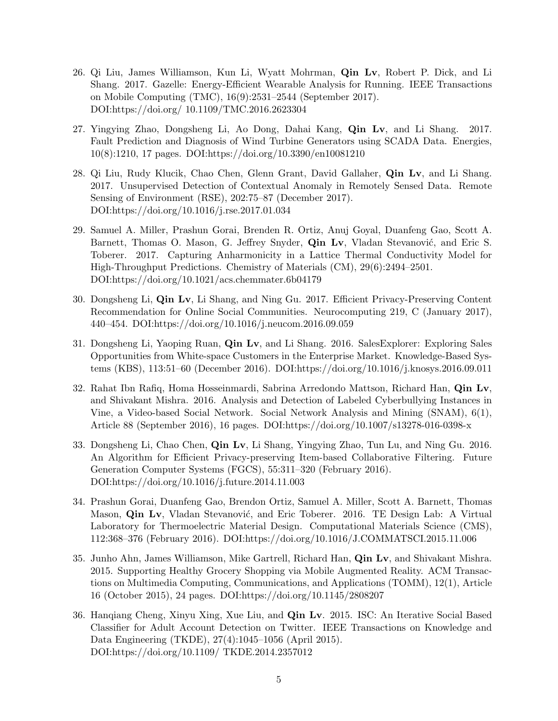- 26. Qi Liu, James Williamson, Kun Li, Wyatt Mohrman, Qin Lv, Robert P. Dick, and Li Shang. 2017. Gazelle: Energy-Efficient Wearable Analysis for Running. IEEE Transactions on Mobile Computing (TMC), 16(9):2531–2544 (September 2017). DOI:https://doi.org/ 10.1109/TMC.2016.2623304
- 27. Yingying Zhao, Dongsheng Li, Ao Dong, Dahai Kang, Qin Lv, and Li Shang. 2017. Fault Prediction and Diagnosis of Wind Turbine Generators using SCADA Data. Energies, 10(8):1210, 17 pages. DOI:https://doi.org/10.3390/en10081210
- 28. Qi Liu, Rudy Klucik, Chao Chen, Glenn Grant, David Gallaher, Qin Lv, and Li Shang. 2017. Unsupervised Detection of Contextual Anomaly in Remotely Sensed Data. Remote Sensing of Environment (RSE), 202:75–87 (December 2017). DOI:https://doi.org/10.1016/j.rse.2017.01.034
- 29. Samuel A. Miller, Prashun Gorai, Brenden R. Ortiz, Anuj Goyal, Duanfeng Gao, Scott A. Barnett, Thomas O. Mason, G. Jeffrey Snyder, **Qin Lv**, Vladan Stevanović, and Eric S. Toberer. 2017. Capturing Anharmonicity in a Lattice Thermal Conductivity Model for High-Throughput Predictions. Chemistry of Materials (CM), 29(6):2494–2501. DOI:https://doi.org/10.1021/acs.chemmater.6b04179
- 30. Dongsheng Li, Qin Lv, Li Shang, and Ning Gu. 2017. Efficient Privacy-Preserving Content Recommendation for Online Social Communities. Neurocomputing 219, C (January 2017), 440–454. DOI:https://doi.org/10.1016/j.neucom.2016.09.059
- 31. Dongsheng Li, Yaoping Ruan, Qin Lv, and Li Shang. 2016. SalesExplorer: Exploring Sales Opportunities from White-space Customers in the Enterprise Market. Knowledge-Based Systems (KBS), 113:51–60 (December 2016). DOI:https://doi.org/10.1016/j.knosys.2016.09.011
- 32. Rahat Ibn Rafiq, Homa Hosseinmardi, Sabrina Arredondo Mattson, Richard Han, Qin Lv, and Shivakant Mishra. 2016. Analysis and Detection of Labeled Cyberbullying Instances in Vine, a Video-based Social Network. Social Network Analysis and Mining (SNAM), 6(1), Article 88 (September 2016), 16 pages. DOI:https://doi.org/10.1007/s13278-016-0398-x
- 33. Dongsheng Li, Chao Chen, Qin Lv, Li Shang, Yingying Zhao, Tun Lu, and Ning Gu. 2016. An Algorithm for Efficient Privacy-preserving Item-based Collaborative Filtering. Future Generation Computer Systems (FGCS), 55:311–320 (February 2016). DOI:https://doi.org/10.1016/j.future.2014.11.003
- 34. Prashun Gorai, Duanfeng Gao, Brendon Ortiz, Samuel A. Miller, Scott A. Barnett, Thomas Mason, **Qin Lv**, Vladan Stevanović, and Eric Toberer. 2016. TE Design Lab: A Virtual Laboratory for Thermoelectric Material Design. Computational Materials Science (CMS), 112:368–376 (February 2016). DOI:https://doi.org/10.1016/J.COMMATSCI.2015.11.006
- 35. Junho Ahn, James Williamson, Mike Gartrell, Richard Han, Qin Lv, and Shivakant Mishra. 2015. Supporting Healthy Grocery Shopping via Mobile Augmented Reality. ACM Transactions on Multimedia Computing, Communications, and Applications (TOMM), 12(1), Article 16 (October 2015), 24 pages. DOI:https://doi.org/10.1145/2808207
- 36. Hanqiang Cheng, Xinyu Xing, Xue Liu, and Qin Lv. 2015. ISC: An Iterative Social Based Classifier for Adult Account Detection on Twitter. IEEE Transactions on Knowledge and Data Engineering (TKDE), 27(4):1045–1056 (April 2015). DOI:https://doi.org/10.1109/ TKDE.2014.2357012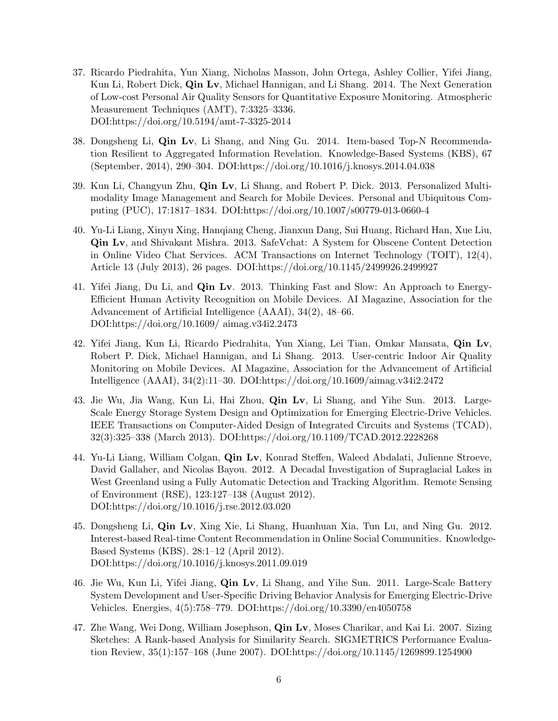- 37. Ricardo Piedrahita, Yun Xiang, Nicholas Masson, John Ortega, Ashley Collier, Yifei Jiang, Kun Li, Robert Dick, Qin Lv, Michael Hannigan, and Li Shang. 2014. The Next Generation of Low-cost Personal Air Quality Sensors for Quantitative Exposure Monitoring. Atmospheric Measurement Techniques (AMT), 7:3325–3336. DOI:https://doi.org/10.5194/amt-7-3325-2014
- 38. Dongsheng Li, Qin Lv, Li Shang, and Ning Gu. 2014. Item-based Top-N Recommendation Resilient to Aggregated Information Revelation. Knowledge-Based Systems (KBS), 67 (September, 2014), 290–304. DOI:https://doi.org/10.1016/j.knosys.2014.04.038
- 39. Kun Li, Changyun Zhu, Qin Lv, Li Shang, and Robert P. Dick. 2013. Personalized Multimodality Image Management and Search for Mobile Devices. Personal and Ubiquitous Computing (PUC), 17:1817–1834. DOI:https://doi.org/10.1007/s00779-013-0660-4
- 40. Yu-Li Liang, Xinyu Xing, Hanqiang Cheng, Jianxun Dang, Sui Huang, Richard Han, Xue Liu, Qin Lv, and Shivakant Mishra. 2013. SafeVchat: A System for Obscene Content Detection in Online Video Chat Services. ACM Transactions on Internet Technology (TOIT), 12(4), Article 13 (July 2013), 26 pages. DOI:https://doi.org/10.1145/2499926.2499927
- 41. Yifei Jiang, Du Li, and Qin Lv. 2013. Thinking Fast and Slow: An Approach to Energy-Efficient Human Activity Recognition on Mobile Devices. AI Magazine, Association for the Advancement of Artificial Intelligence (AAAI), 34(2), 48–66. DOI:https://doi.org/10.1609/ aimag.v34i2.2473
- 42. Yifei Jiang, Kun Li, Ricardo Piedrahita, Yun Xiang, Lei Tian, Omkar Mansata, Qin Lv, Robert P. Dick, Michael Hannigan, and Li Shang. 2013. User-centric Indoor Air Quality Monitoring on Mobile Devices. AI Magazine, Association for the Advancement of Artificial Intelligence (AAAI), 34(2):11–30. DOI:https://doi.org/10.1609/aimag.v34i2.2472
- 43. Jie Wu, Jia Wang, Kun Li, Hai Zhou, Qin Lv, Li Shang, and Yihe Sun. 2013. Large-Scale Energy Storage System Design and Optimization for Emerging Electric-Drive Vehicles. IEEE Transactions on Computer-Aided Design of Integrated Circuits and Systems (TCAD), 32(3):325–338 (March 2013). DOI:https://doi.org/10.1109/TCAD.2012.2228268
- 44. Yu-Li Liang, William Colgan, Qin Lv, Konrad Steffen, Waleed Abdalati, Julienne Stroeve, David Gallaher, and Nicolas Bayou. 2012. A Decadal Investigation of Supraglacial Lakes in West Greenland using a Fully Automatic Detection and Tracking Algorithm. Remote Sensing of Environment (RSE), 123:127–138 (August 2012). DOI:https://doi.org/10.1016/j.rse.2012.03.020
- 45. Dongsheng Li, Qin Lv, Xing Xie, Li Shang, Huanhuan Xia, Tun Lu, and Ning Gu. 2012. Interest-based Real-time Content Recommendation in Online Social Communities. Knowledge-Based Systems (KBS). 28:1–12 (April 2012). DOI:https://doi.org/10.1016/j.knosys.2011.09.019
- 46. Jie Wu, Kun Li, Yifei Jiang, Qin Lv, Li Shang, and Yihe Sun. 2011. Large-Scale Battery System Development and User-Specific Driving Behavior Analysis for Emerging Electric-Drive Vehicles. Energies, 4(5):758–779. DOI:https://doi.org/10.3390/en4050758
- 47. Zhe Wang, Wei Dong, William Josephson, Qin Lv, Moses Charikar, and Kai Li. 2007. Sizing Sketches: A Rank-based Analysis for Similarity Search. SIGMETRICS Performance Evaluation Review, 35(1):157–168 (June 2007). DOI:https://doi.org/10.1145/1269899.1254900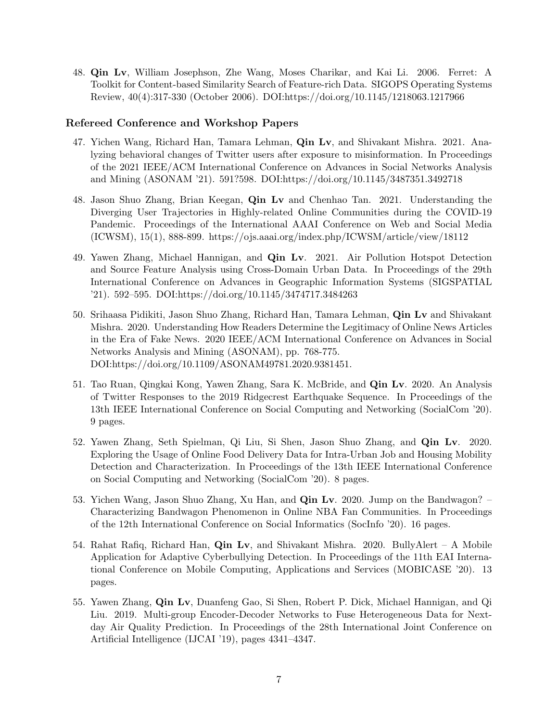48. Qin Lv, William Josephson, Zhe Wang, Moses Charikar, and Kai Li. 2006. Ferret: A Toolkit for Content-based Similarity Search of Feature-rich Data. SIGOPS Operating Systems Review, 40(4):317-330 (October 2006). DOI:https://doi.org/10.1145/1218063.1217966

#### Refereed Conference and Workshop Papers

- 47. Yichen Wang, Richard Han, Tamara Lehman, Qin Lv, and Shivakant Mishra. 2021. Analyzing behavioral changes of Twitter users after exposure to misinformation. In Proceedings of the 2021 IEEE/ACM International Conference on Advances in Social Networks Analysis and Mining (ASONAM '21). 591?598. DOI:https://doi.org/10.1145/3487351.3492718
- 48. Jason Shuo Zhang, Brian Keegan, Qin Lv and Chenhao Tan. 2021. Understanding the Diverging User Trajectories in Highly-related Online Communities during the COVID-19 Pandemic. Proceedings of the International AAAI Conference on Web and Social Media (ICWSM), 15(1), 888-899. https://ojs.aaai.org/index.php/ICWSM/article/view/18112
- 49. Yawen Zhang, Michael Hannigan, and Qin Lv. 2021. Air Pollution Hotspot Detection and Source Feature Analysis using Cross-Domain Urban Data. In Proceedings of the 29th International Conference on Advances in Geographic Information Systems (SIGSPATIAL '21). 592–595. DOI:https://doi.org/10.1145/3474717.3484263
- 50. Srihaasa Pidikiti, Jason Shuo Zhang, Richard Han, Tamara Lehman, Qin Lv and Shivakant Mishra. 2020. Understanding How Readers Determine the Legitimacy of Online News Articles in the Era of Fake News. 2020 IEEE/ACM International Conference on Advances in Social Networks Analysis and Mining (ASONAM), pp. 768-775. DOI:https://doi.org/10.1109/ASONAM49781.2020.9381451.
- 51. Tao Ruan, Qingkai Kong, Yawen Zhang, Sara K. McBride, and Qin Lv. 2020. An Analysis of Twitter Responses to the 2019 Ridgecrest Earthquake Sequence. In Proceedings of the 13th IEEE International Conference on Social Computing and Networking (SocialCom '20). 9 pages.
- 52. Yawen Zhang, Seth Spielman, Qi Liu, Si Shen, Jason Shuo Zhang, and Qin Lv. 2020. Exploring the Usage of Online Food Delivery Data for Intra-Urban Job and Housing Mobility Detection and Characterization. In Proceedings of the 13th IEEE International Conference on Social Computing and Networking (SocialCom '20). 8 pages.
- 53. Yichen Wang, Jason Shuo Zhang, Xu Han, and Qin Lv. 2020. Jump on the Bandwagon? Characterizing Bandwagon Phenomenon in Online NBA Fan Communities. In Proceedings of the 12th International Conference on Social Informatics (SocInfo '20). 16 pages.
- 54. Rahat Rafiq, Richard Han, Qin Lv, and Shivakant Mishra. 2020. BullyAlert A Mobile Application for Adaptive Cyberbullying Detection. In Proceedings of the 11th EAI International Conference on Mobile Computing, Applications and Services (MOBICASE '20). 13 pages.
- 55. Yawen Zhang, Qin Lv, Duanfeng Gao, Si Shen, Robert P. Dick, Michael Hannigan, and Qi Liu. 2019. Multi-group Encoder-Decoder Networks to Fuse Heterogeneous Data for Nextday Air Quality Prediction. In Proceedings of the 28th International Joint Conference on Artificial Intelligence (IJCAI '19), pages 4341–4347.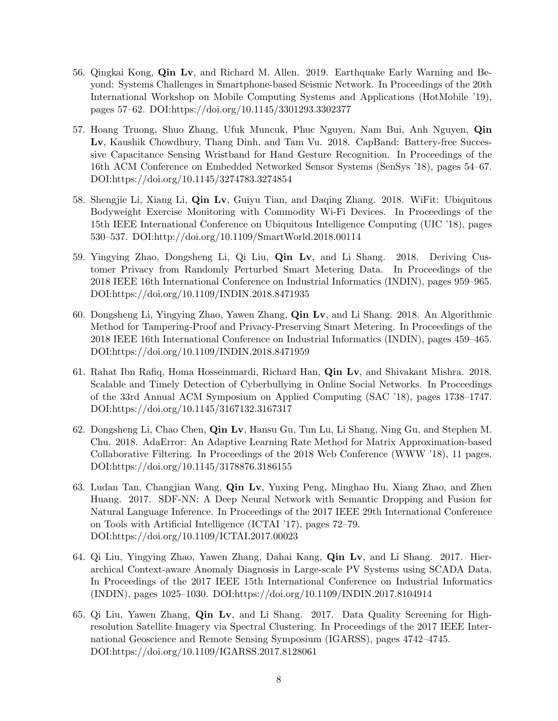- 56. Qingkai Kong, Qin Lv, and Richard M. Allen. 2019. Earthquake Early Warning and Beyond: Systems Challenges in Smartphone-based Seismic Network. In Proceedings of the 20th International Workshop on Mobile Computing Systems and Applications (HotMobile '19), pages 57–62. DOI:https://doi.org/10.1145/3301293.3302377
- 57. Hoang Truong, Shuo Zhang, Ufuk Muncuk, Phuc Nguyen, Nam Bui, Anh Nguyen, Qin Lv, Kaushik Chowdhury, Thang Dinh, and Tam Vu. 2018. CapBand: Battery-free Successive Capacitance Sensing Wristband for Hand Gesture Recognition. In Proceedings of the 16th ACM Conference on Embedded Networked Sensor Systems (SenSys '18), pages 54–67. DOI:https://doi.org/10.1145/3274783.3274854
- 58. Shengjie Li, Xiang Li, Qin Lv, Guiyu Tian, and Daqing Zhang. 2018. WiFit: Ubiquitous Bodyweight Exercise Monitoring with Commodity Wi-Fi Devices. In Proceedings of the 15th IEEE International Conference on Ubiquitous Intelligence Computing (UIC '18), pages 530–537. DOI:http://doi.org/10.1109/SmartWorld.2018.00114
- 59. Yingying Zhao, Dongsheng Li, Qi Liu, Qin Lv, and Li Shang. 2018. Deriving Customer Privacy from Randomly Perturbed Smart Metering Data. In Proceedings of the 2018 IEEE 16th International Conference on Industrial Informatics (INDIN), pages 959–965. DOI:https://doi.org/10.1109/INDIN.2018.8471935
- 60. Dongsheng Li, Yingying Zhao, Yawen Zhang, Qin Lv, and Li Shang. 2018. An Algorithmic Method for Tampering-Proof and Privacy-Preserving Smart Metering. In Proceedings of the 2018 IEEE 16th International Conference on Industrial Informatics (INDIN), pages 459–465. DOI:https://doi.org/10.1109/INDIN.2018.8471959
- 61. Rahat Ibn Rafiq, Homa Hosseinmardi, Richard Han, Qin Lv, and Shivakant Mishra. 2018. Scalable and Timely Detection of Cyberbullying in Online Social Networks. In Proceedings of the 33rd Annual ACM Symposium on Applied Computing (SAC '18), pages 1738–1747. DOI:https://doi.org/10.1145/3167132.3167317
- 62. Dongsheng Li, Chao Chen, Qin Lv, Hansu Gu, Tun Lu, Li Shang, Ning Gu, and Stephen M. Chu. 2018. AdaError: An Adaptive Learning Rate Method for Matrix Approximation-based Collaborative Filtering. In Proceedings of the 2018 Web Conference (WWW '18), 11 pages. DOI:https://doi.org/10.1145/3178876.3186155
- 63. Ludan Tan, Changjian Wang, Qin Lv, Yuxing Peng, Minghao Hu, Xiang Zhao, and Zhen Huang. 2017. SDF-NN: A Deep Neural Network with Semantic Dropping and Fusion for Natural Language Inference. In Proceedings of the 2017 IEEE 29th International Conference on Tools with Artificial Intelligence (ICTAI '17), pages 72–79. DOI:https://doi.org/10.1109/ICTAI.2017.00023
- 64. Qi Liu, Yingying Zhao, Yawen Zhang, Dahai Kang, Qin Lv, and Li Shang. 2017. Hierarchical Context-aware Anomaly Diagnosis in Large-scale PV Systems using SCADA Data. In Proceedings of the 2017 IEEE 15th International Conference on Industrial Informatics (INDIN), pages 1025–1030. DOI:https://doi.org/10.1109/INDIN.2017.8104914
- 65. Qi Liu, Yawen Zhang, Qin Lv, and Li Shang. 2017. Data Quality Screening for Highresolution Satellite Imagery via Spectral Clustering. In Proceedings of the 2017 IEEE International Geoscience and Remote Sensing Symposium (IGARSS), pages 4742–4745. DOI:https://doi.org/10.1109/IGARSS.2017.8128061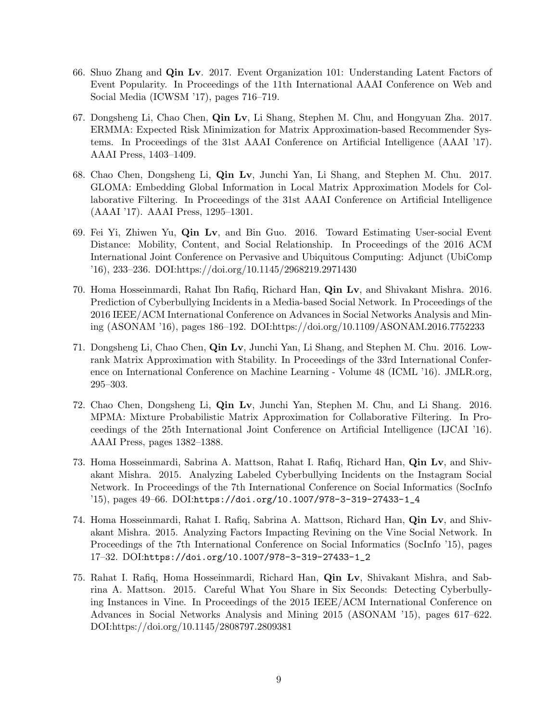- 66. Shuo Zhang and Qin Lv. 2017. Event Organization 101: Understanding Latent Factors of Event Popularity. In Proceedings of the 11th International AAAI Conference on Web and Social Media (ICWSM '17), pages 716–719.
- 67. Dongsheng Li, Chao Chen, Qin Lv, Li Shang, Stephen M. Chu, and Hongyuan Zha. 2017. ERMMA: Expected Risk Minimization for Matrix Approximation-based Recommender Systems. In Proceedings of the 31st AAAI Conference on Artificial Intelligence (AAAI '17). AAAI Press, 1403–1409.
- 68. Chao Chen, Dongsheng Li, Qin Lv, Junchi Yan, Li Shang, and Stephen M. Chu. 2017. GLOMA: Embedding Global Information in Local Matrix Approximation Models for Collaborative Filtering. In Proceedings of the 31st AAAI Conference on Artificial Intelligence (AAAI '17). AAAI Press, 1295–1301.
- 69. Fei Yi, Zhiwen Yu, Qin Lv, and Bin Guo. 2016. Toward Estimating User-social Event Distance: Mobility, Content, and Social Relationship. In Proceedings of the 2016 ACM International Joint Conference on Pervasive and Ubiquitous Computing: Adjunct (UbiComp '16), 233–236. DOI:https://doi.org/10.1145/2968219.2971430
- 70. Homa Hosseinmardi, Rahat Ibn Rafiq, Richard Han, Qin Lv, and Shivakant Mishra. 2016. Prediction of Cyberbullying Incidents in a Media-based Social Network. In Proceedings of the 2016 IEEE/ACM International Conference on Advances in Social Networks Analysis and Mining (ASONAM '16), pages 186–192. DOI:https://doi.org/10.1109/ASONAM.2016.7752233
- 71. Dongsheng Li, Chao Chen, Qin Lv, Junchi Yan, Li Shang, and Stephen M. Chu. 2016. Lowrank Matrix Approximation with Stability. In Proceedings of the 33rd International Conference on International Conference on Machine Learning - Volume 48 (ICML '16). JMLR.org, 295–303.
- 72. Chao Chen, Dongsheng Li, Qin Lv, Junchi Yan, Stephen M. Chu, and Li Shang. 2016. MPMA: Mixture Probabilistic Matrix Approximation for Collaborative Filtering. In Proceedings of the 25th International Joint Conference on Artificial Intelligence (IJCAI '16). AAAI Press, pages 1382–1388.
- 73. Homa Hosseinmardi, Sabrina A. Mattson, Rahat I. Rafiq, Richard Han, Qin Lv, and Shivakant Mishra. 2015. Analyzing Labeled Cyberbullying Incidents on the Instagram Social Network. In Proceedings of the 7th International Conference on Social Informatics (SocInfo '15), pages 49–66. DOI:[https://doi.org/10.1007/978-3-319-27433-1\\_4](https://doi.org/10.1007/978-3-319-27433-1_4)
- 74. Homa Hosseinmardi, Rahat I. Rafiq, Sabrina A. Mattson, Richard Han, Qin Lv, and Shivakant Mishra. 2015. Analyzing Factors Impacting Revining on the Vine Social Network. In Proceedings of the 7th International Conference on Social Informatics (SocInfo '15), pages 17–32. DOI:[https://doi.org/10.1007/978-3-319-27433-1\\_2](https://doi.org/10.1007/978-3-319-27433-1_2)
- 75. Rahat I. Rafiq, Homa Hosseinmardi, Richard Han, Qin Lv, Shivakant Mishra, and Sabrina A. Mattson. 2015. Careful What You Share in Six Seconds: Detecting Cyberbullying Instances in Vine. In Proceedings of the 2015 IEEE/ACM International Conference on Advances in Social Networks Analysis and Mining 2015 (ASONAM '15), pages 617–622. DOI:https://doi.org/10.1145/2808797.2809381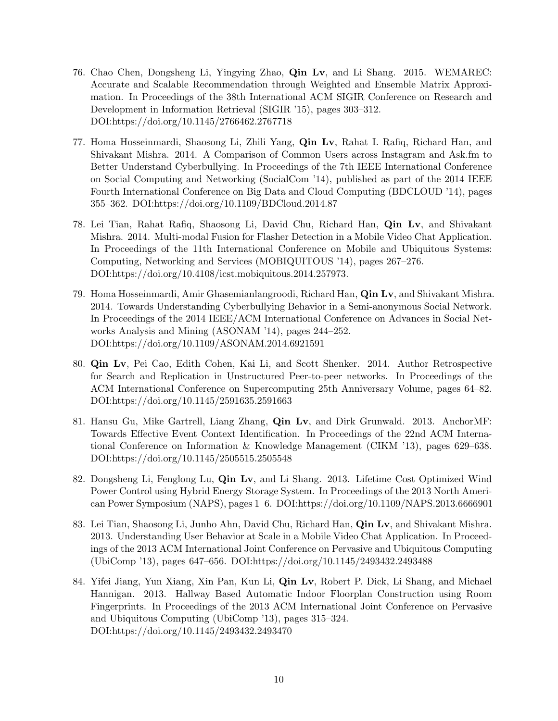- 76. Chao Chen, Dongsheng Li, Yingying Zhao, Qin Lv, and Li Shang. 2015. WEMAREC: Accurate and Scalable Recommendation through Weighted and Ensemble Matrix Approximation. In Proceedings of the 38th International ACM SIGIR Conference on Research and Development in Information Retrieval (SIGIR '15), pages 303–312. DOI:https://doi.org/10.1145/2766462.2767718
- 77. Homa Hosseinmardi, Shaosong Li, Zhili Yang, Qin Lv, Rahat I. Rafiq, Richard Han, and Shivakant Mishra. 2014. A Comparison of Common Users across Instagram and Ask.fm to Better Understand Cyberbullying. In Proceedings of the 7th IEEE International Conference on Social Computing and Networking (SocialCom '14), published as part of the 2014 IEEE Fourth International Conference on Big Data and Cloud Computing (BDCLOUD '14), pages 355–362. DOI:https://doi.org/10.1109/BDCloud.2014.87
- 78. Lei Tian, Rahat Rafiq, Shaosong Li, David Chu, Richard Han, Qin Lv, and Shivakant Mishra. 2014. Multi-modal Fusion for Flasher Detection in a Mobile Video Chat Application. In Proceedings of the 11th International Conference on Mobile and Ubiquitous Systems: Computing, Networking and Services (MOBIQUITOUS '14), pages 267–276. DOI:https://doi.org/10.4108/icst.mobiquitous.2014.257973.
- 79. Homa Hosseinmardi, Amir Ghasemianlangroodi, Richard Han, Qin Lv, and Shivakant Mishra. 2014. Towards Understanding Cyberbullying Behavior in a Semi-anonymous Social Network. In Proceedings of the 2014 IEEE/ACM International Conference on Advances in Social Networks Analysis and Mining (ASONAM '14), pages 244–252. DOI:https://doi.org/10.1109/ASONAM.2014.6921591
- 80. Qin Lv, Pei Cao, Edith Cohen, Kai Li, and Scott Shenker. 2014. Author Retrospective for Search and Replication in Unstructured Peer-to-peer networks. In Proceedings of the ACM International Conference on Supercomputing 25th Anniversary Volume, pages 64–82. DOI:https://doi.org/10.1145/2591635.2591663
- 81. Hansu Gu, Mike Gartrell, Liang Zhang, Qin Lv, and Dirk Grunwald. 2013. AnchorMF: Towards Effective Event Context Identification. In Proceedings of the 22nd ACM International Conference on Information & Knowledge Management (CIKM '13), pages 629–638. DOI:https://doi.org/10.1145/2505515.2505548
- 82. Dongsheng Li, Fenglong Lu, Qin Lv, and Li Shang. 2013. Lifetime Cost Optimized Wind Power Control using Hybrid Energy Storage System. In Proceedings of the 2013 North American Power Symposium (NAPS), pages 1–6. DOI:https://doi.org/10.1109/NAPS.2013.6666901
- 83. Lei Tian, Shaosong Li, Junho Ahn, David Chu, Richard Han, Qin Lv, and Shivakant Mishra. 2013. Understanding User Behavior at Scale in a Mobile Video Chat Application. In Proceedings of the 2013 ACM International Joint Conference on Pervasive and Ubiquitous Computing (UbiComp '13), pages 647–656. DOI:https://doi.org/10.1145/2493432.2493488
- 84. Yifei Jiang, Yun Xiang, Xin Pan, Kun Li, Qin Lv, Robert P. Dick, Li Shang, and Michael Hannigan. 2013. Hallway Based Automatic Indoor Floorplan Construction using Room Fingerprints. In Proceedings of the 2013 ACM International Joint Conference on Pervasive and Ubiquitous Computing (UbiComp '13), pages 315–324. DOI:https://doi.org/10.1145/2493432.2493470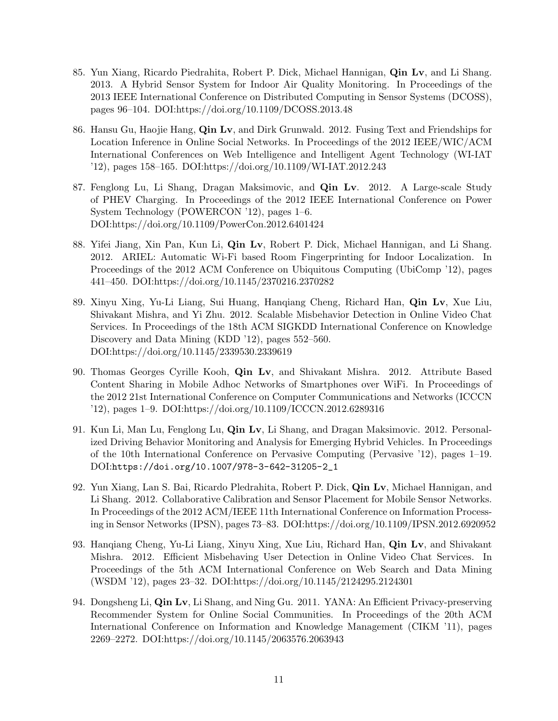- 85. Yun Xiang, Ricardo Piedrahita, Robert P. Dick, Michael Hannigan, Qin Lv, and Li Shang. 2013. A Hybrid Sensor System for Indoor Air Quality Monitoring. In Proceedings of the 2013 IEEE International Conference on Distributed Computing in Sensor Systems (DCOSS), pages 96–104. DOI:https://doi.org/10.1109/DCOSS.2013.48
- 86. Hansu Gu, Haojie Hang, Qin Lv, and Dirk Grunwald. 2012. Fusing Text and Friendships for Location Inference in Online Social Networks. In Proceedings of the 2012 IEEE/WIC/ACM International Conferences on Web Intelligence and Intelligent Agent Technology (WI-IAT '12), pages 158–165. DOI:https://doi.org/10.1109/WI-IAT.2012.243
- 87. Fenglong Lu, Li Shang, Dragan Maksimovic, and Qin Lv. 2012. A Large-scale Study of PHEV Charging. In Proceedings of the 2012 IEEE International Conference on Power System Technology (POWERCON '12), pages 1–6. DOI:https://doi.org/10.1109/PowerCon.2012.6401424
- 88. Yifei Jiang, Xin Pan, Kun Li, Qin Lv, Robert P. Dick, Michael Hannigan, and Li Shang. 2012. ARIEL: Automatic Wi-Fi based Room Fingerprinting for Indoor Localization. In Proceedings of the 2012 ACM Conference on Ubiquitous Computing (UbiComp '12), pages 441–450. DOI:https://doi.org/10.1145/2370216.2370282
- 89. Xinyu Xing, Yu-Li Liang, Sui Huang, Hanqiang Cheng, Richard Han, Qin Lv, Xue Liu, Shivakant Mishra, and Yi Zhu. 2012. Scalable Misbehavior Detection in Online Video Chat Services. In Proceedings of the 18th ACM SIGKDD International Conference on Knowledge Discovery and Data Mining (KDD '12), pages 552–560. DOI:https://doi.org/10.1145/2339530.2339619
- 90. Thomas Georges Cyrille Kooh, Qin Lv, and Shivakant Mishra. 2012. Attribute Based Content Sharing in Mobile Adhoc Networks of Smartphones over WiFi. In Proceedings of the 2012 21st International Conference on Computer Communications and Networks (ICCCN '12), pages 1–9. DOI:https://doi.org/10.1109/ICCCN.2012.6289316
- 91. Kun Li, Man Lu, Fenglong Lu, Qin Lv, Li Shang, and Dragan Maksimovic. 2012. Personalized Driving Behavior Monitoring and Analysis for Emerging Hybrid Vehicles. In Proceedings of the 10th International Conference on Pervasive Computing (Pervasive '12), pages 1–19. DOI:[https://doi.org/10.1007/978-3-642-31205-2\\_1](https://doi.org/10.1007/978-3-642-31205-2_1)
- 92. Yun Xiang, Lan S. Bai, Ricardo Pledrahita, Robert P. Dick, Qin Lv, Michael Hannigan, and Li Shang. 2012. Collaborative Calibration and Sensor Placement for Mobile Sensor Networks. In Proceedings of the 2012 ACM/IEEE 11th International Conference on Information Processing in Sensor Networks (IPSN), pages 73–83. DOI:https://doi.org/10.1109/IPSN.2012.6920952
- 93. Hanqiang Cheng, Yu-Li Liang, Xinyu Xing, Xue Liu, Richard Han, Qin Lv, and Shivakant Mishra. 2012. Efficient Misbehaving User Detection in Online Video Chat Services. In Proceedings of the 5th ACM International Conference on Web Search and Data Mining (WSDM '12), pages 23–32. DOI:https://doi.org/10.1145/2124295.2124301
- 94. Dongsheng Li, **Qin Lv**, Li Shang, and Ning Gu. 2011. YANA: An Efficient Privacy-preserving Recommender System for Online Social Communities. In Proceedings of the 20th ACM International Conference on Information and Knowledge Management (CIKM '11), pages 2269–2272. DOI:https://doi.org/10.1145/2063576.2063943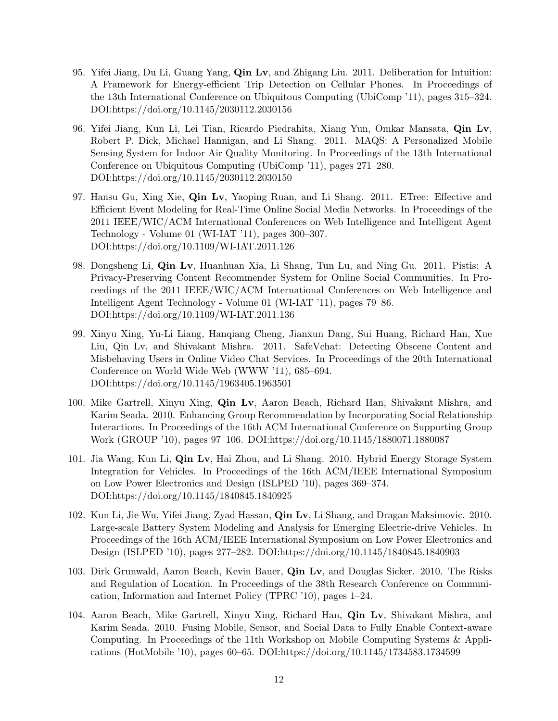- 95. Yifei Jiang, Du Li, Guang Yang, Qin Lv, and Zhigang Liu. 2011. Deliberation for Intuition: A Framework for Energy-efficient Trip Detection on Cellular Phones. In Proceedings of the 13th International Conference on Ubiquitous Computing (UbiComp '11), pages 315–324. DOI:https://doi.org/10.1145/2030112.2030156
- 96. Yifei Jiang, Kun Li, Lei Tian, Ricardo Piedrahita, Xiang Yun, Omkar Mansata, Qin Lv, Robert P. Dick, Michael Hannigan, and Li Shang. 2011. MAQS: A Personalized Mobile Sensing System for Indoor Air Quality Monitoring. In Proceedings of the 13th International Conference on Ubiquitous Computing (UbiComp '11), pages 271–280. DOI:https://doi.org/10.1145/2030112.2030150
- 97. Hansu Gu, Xing Xie, Qin Lv, Yaoping Ruan, and Li Shang. 2011. ETree: Effective and Efficient Event Modeling for Real-Time Online Social Media Networks. In Proceedings of the 2011 IEEE/WIC/ACM International Conferences on Web Intelligence and Intelligent Agent Technology - Volume 01 (WI-IAT '11), pages 300–307. DOI:https://doi.org/10.1109/WI-IAT.2011.126
- 98. Dongsheng Li, Qin Lv, Huanhuan Xia, Li Shang, Tun Lu, and Ning Gu. 2011. Pistis: A Privacy-Preserving Content Recommender System for Online Social Communities. In Proceedings of the 2011 IEEE/WIC/ACM International Conferences on Web Intelligence and Intelligent Agent Technology - Volume 01 (WI-IAT '11), pages 79–86. DOI:https://doi.org/10.1109/WI-IAT.2011.136
- 99. Xinyu Xing, Yu-Li Liang, Hanqiang Cheng, Jianxun Dang, Sui Huang, Richard Han, Xue Liu, Qin Lv, and Shivakant Mishra. 2011. SafeVchat: Detecting Obscene Content and Misbehaving Users in Online Video Chat Services. In Proceedings of the 20th International Conference on World Wide Web (WWW '11), 685–694. DOI:https://doi.org/10.1145/1963405.1963501
- 100. Mike Gartrell, Xinyu Xing, Qin Lv, Aaron Beach, Richard Han, Shivakant Mishra, and Karim Seada. 2010. Enhancing Group Recommendation by Incorporating Social Relationship Interactions. In Proceedings of the 16th ACM International Conference on Supporting Group Work (GROUP '10), pages 97–106. DOI:https://doi.org/10.1145/1880071.1880087
- 101. Jia Wang, Kun Li, Qin Lv, Hai Zhou, and Li Shang. 2010. Hybrid Energy Storage System Integration for Vehicles. In Proceedings of the 16th ACM/IEEE International Symposium on Low Power Electronics and Design (ISLPED '10), pages 369–374. DOI:https://doi.org/10.1145/1840845.1840925
- 102. Kun Li, Jie Wu, Yifei Jiang, Zyad Hassan, Qin Lv, Li Shang, and Dragan Maksimovic. 2010. Large-scale Battery System Modeling and Analysis for Emerging Electric-drive Vehicles. In Proceedings of the 16th ACM/IEEE International Symposium on Low Power Electronics and Design (ISLPED '10), pages 277–282. DOI:https://doi.org/10.1145/1840845.1840903
- 103. Dirk Grunwald, Aaron Beach, Kevin Bauer, Qin Lv, and Douglas Sicker. 2010. The Risks and Regulation of Location. In Proceedings of the 38th Research Conference on Communication, Information and Internet Policy (TPRC '10), pages 1–24.
- 104. Aaron Beach, Mike Gartrell, Xinyu Xing, Richard Han, Qin Lv, Shivakant Mishra, and Karim Seada. 2010. Fusing Mobile, Sensor, and Social Data to Fully Enable Context-aware Computing. In Proceedings of the 11th Workshop on Mobile Computing Systems & Applications (HotMobile '10), pages 60–65. DOI:https://doi.org/10.1145/1734583.1734599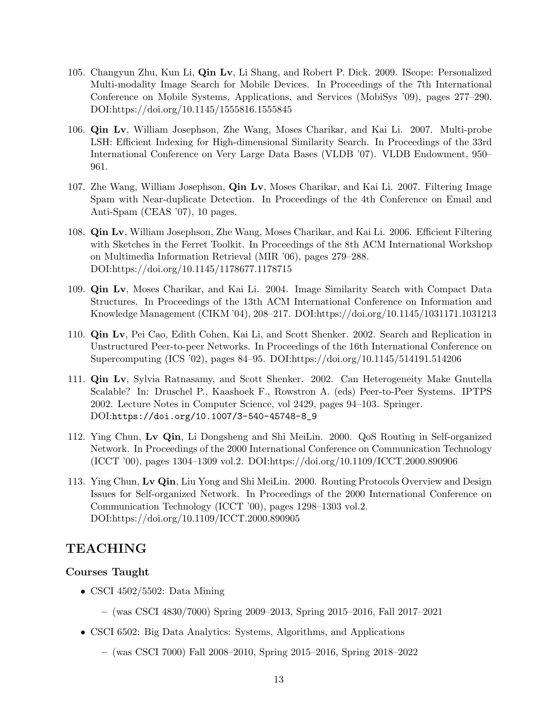- 105. Changyun Zhu, Kun Li, Qin Lv, Li Shang, and Robert P. Dick. 2009. IScope: Personalized Multi-modality Image Search for Mobile Devices. In Proceedings of the 7th International Conference on Mobile Systems, Applications, and Services (MobiSys '09), pages 277–290. DOI:https://doi.org/10.1145/1555816.1555845
- 106. Qin Lv, William Josephson, Zhe Wang, Moses Charikar, and Kai Li. 2007. Multi-probe LSH: Efficient Indexing for High-dimensional Similarity Search. In Proceedings of the 33rd International Conference on Very Large Data Bases (VLDB '07). VLDB Endowment, 950– 961.
- 107. Zhe Wang, William Josephson, Qin Lv, Moses Charikar, and Kai Li. 2007. Filtering Image Spam with Near-duplicate Detection. In Proceedings of the 4th Conference on Email and Anti-Spam (CEAS '07), 10 pages.
- 108. Qin Lv, William Josephson, Zhe Wang, Moses Charikar, and Kai Li. 2006. Efficient Filtering with Sketches in the Ferret Toolkit. In Proceedings of the 8th ACM International Workshop on Multimedia Information Retrieval (MIR '06), pages 279–288. DOI:https://doi.org/10.1145/1178677.1178715
- 109. Qin Lv, Moses Charikar, and Kai Li. 2004. Image Similarity Search with Compact Data Structures. In Proceedings of the 13th ACM International Conference on Information and Knowledge Management (CIKM '04), 208–217. DOI:https://doi.org/10.1145/1031171.1031213
- 110. Qin Lv, Pei Cao, Edith Cohen, Kai Li, and Scott Shenker. 2002. Search and Replication in Unstructured Peer-to-peer Networks. In Proceedings of the 16th International Conference on Supercomputing (ICS '02), pages 84–95. DOI:https://doi.org/10.1145/514191.514206
- 111. Qin Lv, Sylvia Ratnasamy, and Scott Shenker. 2002. Can Heterogeneity Make Gnutella Scalable? In: Druschel P., Kaashoek F., Rowstron A. (eds) Peer-to-Peer Systems. IPTPS 2002. Lecture Notes in Computer Science, vol 2429, pages 94–103. Springer. DOI:[https://doi.org/10.1007/3-540-45748-8\\_9](https://doi.org/10.1007/3-540-45748-8_9)
- 112. Ying Chun, Lv Qin, Li Dongsheng and Shi MeiLin. 2000. QoS Routing in Self-organized Network. In Proceedings of the 2000 International Conference on Communication Technology (ICCT '00), pages 1304–1309 vol.2. DOI:https://doi.org/10.1109/ICCT.2000.890906
- 113. Ying Chun, Lv Qin, Liu Yong and Shi MeiLin. 2000. Routing Protocols Overview and Design Issues for Self-organized Network. In Proceedings of the 2000 International Conference on Communication Technology (ICCT '00), pages 1298–1303 vol.2. DOI:https://doi.org/10.1109/ICCT.2000.890905

# TEACHING

### Courses Taught

- CSCI 4502/5502: Data Mining
	- (was CSCI 4830/7000) Spring 2009–2013, Spring 2015–2016, Fall 2017–2021
- CSCI 6502: Big Data Analytics: Systems, Algorithms, and Applications
	- (was CSCI 7000) Fall 2008–2010, Spring 2015–2016, Spring 2018–2022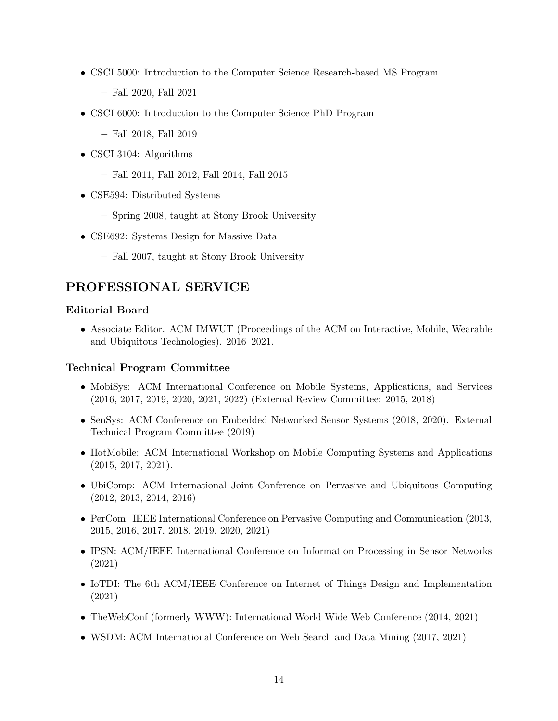- CSCI 5000: Introduction to the Computer Science Research-based MS Program
	- Fall 2020, Fall 2021
- CSCI 6000: Introduction to the Computer Science PhD Program
	- Fall 2018, Fall 2019
- CSCI 3104: Algorithms
	- Fall 2011, Fall 2012, Fall 2014, Fall 2015
- CSE594: Distributed Systems
	- Spring 2008, taught at Stony Brook University
- CSE692: Systems Design for Massive Data
	- Fall 2007, taught at Stony Brook University

# PROFESSIONAL SERVICE

### Editorial Board

• Associate Editor. ACM IMWUT (Proceedings of the ACM on Interactive, Mobile, Wearable and Ubiquitous Technologies). 2016–2021.

### Technical Program Committee

- MobiSys: ACM International Conference on Mobile Systems, Applications, and Services (2016, 2017, 2019, 2020, 2021, 2022) (External Review Committee: 2015, 2018)
- SenSys: ACM Conference on Embedded Networked Sensor Systems (2018, 2020). External Technical Program Committee (2019)
- HotMobile: ACM International Workshop on Mobile Computing Systems and Applications (2015, 2017, 2021).
- UbiComp: ACM International Joint Conference on Pervasive and Ubiquitous Computing (2012, 2013, 2014, 2016)
- PerCom: IEEE International Conference on Pervasive Computing and Communication (2013, 2015, 2016, 2017, 2018, 2019, 2020, 2021)
- IPSN: ACM/IEEE International Conference on Information Processing in Sensor Networks (2021)
- IoTDI: The 6th ACM/IEEE Conference on Internet of Things Design and Implementation (2021)
- TheWebConf (formerly WWW): International World Wide Web Conference (2014, 2021)
- WSDM: ACM International Conference on Web Search and Data Mining (2017, 2021)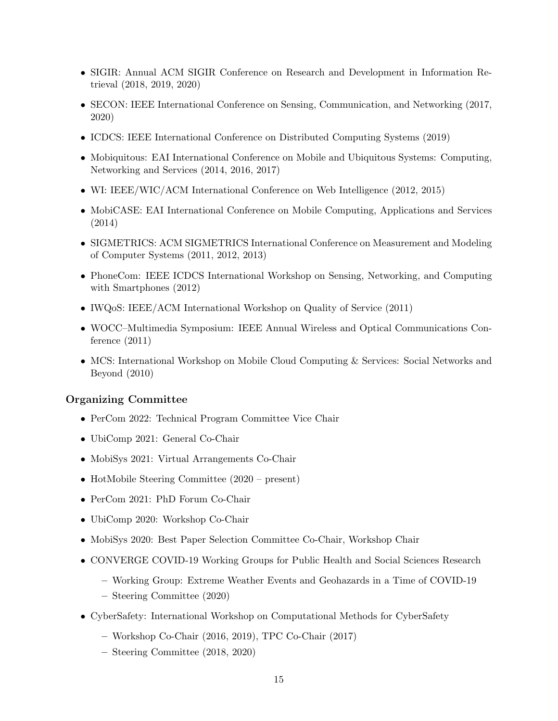- SIGIR: Annual ACM SIGIR Conference on Research and Development in Information Retrieval (2018, 2019, 2020)
- SECON: IEEE International Conference on Sensing, Communication, and Networking (2017, 2020)
- ICDCS: IEEE International Conference on Distributed Computing Systems (2019)
- Mobiquitous: EAI International Conference on Mobile and Ubiquitous Systems: Computing, Networking and Services (2014, 2016, 2017)
- WI: IEEE/WIC/ACM International Conference on Web Intelligence (2012, 2015)
- MobiCASE: EAI International Conference on Mobile Computing, Applications and Services (2014)
- SIGMETRICS: ACM SIGMETRICS International Conference on Measurement and Modeling of Computer Systems (2011, 2012, 2013)
- PhoneCom: IEEE ICDCS International Workshop on Sensing, Networking, and Computing with Smartphones (2012)
- IWQoS: IEEE/ACM International Workshop on Quality of Service (2011)
- WOCC–Multimedia Symposium: IEEE Annual Wireless and Optical Communications Conference (2011)
- MCS: International Workshop on Mobile Cloud Computing & Services: Social Networks and Beyond (2010)

### Organizing Committee

- PerCom 2022: Technical Program Committee Vice Chair
- UbiComp 2021: General Co-Chair
- MobiSys 2021: Virtual Arrangements Co-Chair
- HotMobile Steering Committee (2020 present)
- PerCom 2021: PhD Forum Co-Chair
- UbiComp 2020: Workshop Co-Chair
- MobiSys 2020: Best Paper Selection Committee Co-Chair, Workshop Chair
- CONVERGE COVID-19 Working Groups for Public Health and Social Sciences Research
	- Working Group: Extreme Weather Events and Geohazards in a Time of COVID-19
	- Steering Committee (2020)
- CyberSafety: International Workshop on Computational Methods for CyberSafety
	- Workshop Co-Chair (2016, 2019), TPC Co-Chair (2017)
	- Steering Committee (2018, 2020)